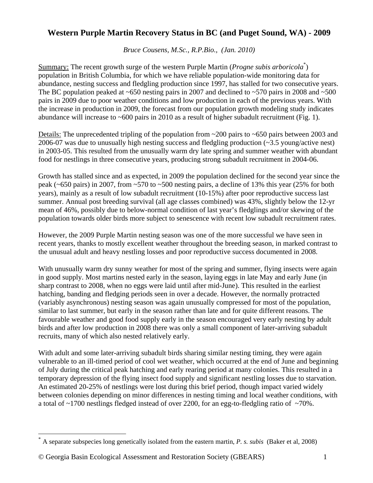## **Western Purple Martin Recovery Status in BC (and Puget Sound, WA) - 2009**

*Bruce Cousens, M.Sc., R.P.Bio., (Jan. 2010)* 

Summary: The recent growth surge of the western Purple Martin (*Progne subis arboricola*<sup>[\\*](#page-0-0)</sup>) population in British Columbia, for which we have reliable population-wide monitoring data for abundance, nesting success and fledgling production since 1997, has stalled for two consecutive years. The BC population peaked at  $\sim 650$  nesting pairs in 2007 and declined to  $\sim 570$  pairs in 2008 and  $\sim 500$ pairs in 2009 due to poor weather conditions and low production in each of the previous years. With the increase in production in 2009, the forecast from our population growth modeling study indicates abundance will increase to  $\sim 600$  pairs in 2010 as a result of higher subadult recruitment (Fig. 1).

Details: The unprecedented tripling of the population from ~200 pairs to ~650 pairs between 2003 and 2006-07 was due to unusually high nesting success and fledgling production  $(\sim 3.5 \text{ young/active nest})$ in 2003-05. This resulted from the unusually warm dry late spring and summer weather with abundant food for nestlings in three consecutive years, producing strong subadult recruitment in 2004-06.

Growth has stalled since and as expected, in 2009 the population declined for the second year since the peak (~650 pairs) in 2007, from ~570 to ~500 nesting pairs, a decline of 13% this year (25% for both years), mainly as a result of low subadult recruitment (10-15%) after poor reproductive success last summer. Annual post breeding survival (all age classes combined) was 43%, slightly below the 12-yr mean of 46%, possibly due to below-normal condition of last year's fledglings and/or skewing of the population towards older birds more subject to senescence with recent low subadult recruitment rates.

However, the 2009 Purple Martin nesting season was one of the more successful we have seen in recent years, thanks to mostly excellent weather throughout the breeding season, in marked contrast to the unusual adult and heavy nestling losses and poor reproductive success documented in 2008.

With unusually warm dry sunny weather for most of the spring and summer, flying insects were again in good supply. Most martins nested early in the season, laying eggs in late May and early June (in sharp contrast to 2008, when no eggs were laid until after mid-June). This resulted in the earliest hatching, banding and fledging periods seen in over a decade. However, the normally protracted (variably asynchronous) nesting season was again unusually compressed for most of the population, similar to last summer, but early in the season rather than late and for quite different reasons. The favourable weather and good food supply early in the season encouraged very early nesting by adult birds and after low production in 2008 there was only a small component of later-arriving subadult recruits, many of which also nested relatively early.

With adult and some later-arriving subadult birds sharing similar nesting timing, they were again vulnerable to an ill-timed period of cool wet weather, which occurred at the end of June and beginning of July during the critical peak hatching and early rearing period at many colonies. This resulted in a temporary depression of the flying insect food supply and significant nestling losses due to starvation. An estimated 20-25% of nestlings were lost during this brief period, though impact varied widely between colonies depending on minor differences in nesting timing and local weather conditions, with a total of ~1700 nestlings fledged instead of over 2200, for an egg-to-fledgling ratio of ~70%.

 $\overline{a}$ 

<span id="page-0-0"></span><sup>\*</sup> A separate subspecies long genetically isolated from the eastern martin, *P. s. subis* (Baker et al, 2008)

<sup>©</sup> Georgia Basin Ecological Assessment and Restoration Society (GBEARS) 1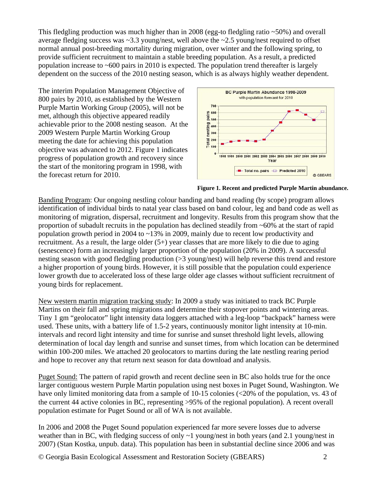This fledgling production was much higher than in 2008 (egg-to fledgling ratio ~50%) and overall average fledging success was ~3.3 young/nest, well above the ~2.5 young/nest required to offset normal annual post-breeding mortality during migration, over winter and the following spring, to provide sufficient recruitment to maintain a stable breeding population. As a result, a predicted population increase to ~600 pairs in 2010 is expected. The population trend thereafter is largely dependent on the success of the 2010 nesting season, which is as always highly weather dependent.

The interim Population Management Objective of 800 pairs by 2010, as established by the Western Purple Martin Working Group (2005), will not be met, although this objective appeared readily achievable prior to the 2008 nesting season. At the 2009 Western Purple Martin Working Group meeting the date for achieving this population objective was advanced to 2012. Figure 1 indicates progress of population growth and recovery since the start of the monitoring program in 1998, with the forecast return for 2010.





Banding Program: Our ongoing nestling colour banding and band reading (by scope) program allows identification of individual birds to natal year class based on band colour, leg and band code as well as monitoring of migration, dispersal, recruitment and longevity. Results from this program show that the proportion of subadult recruits in the population has declined steadily from ~60% at the start of rapid population growth period in 2004 to ~13% in 2009, mainly due to recent low productivity and recruitment. As a result, the large older (5+) year classes that are more likely to die due to aging (senescence) form an increasingly larger proportion of the population (20% in 2009). A successful nesting season with good fledgling production (>3 young/nest) will help reverse this trend and restore a higher proportion of young birds. However, it is still possible that the population could experience lower growth due to accelerated loss of these large older age classes without sufficient recruitment of young birds for replacement.

New western martin migration tracking study: In 2009 a study was initiated to track BC Purple Martins on their fall and spring migrations and determine their stopover points and wintering areas. Tiny 1 gm "geolocator" light intensity data loggers attached with a leg-loop "backpack" harness were used. These units, with a battery life of 1.5-2 years, continuously monitor light intensity at 10-min. intervals and record light intensity and time for sunrise and sunset threshold light levels, allowing determination of local day length and sunrise and sunset times, from which location can be determined within 100-200 miles. We attached 20 geolocators to martins during the late nestling rearing period and hope to recover any that return next season for data download and analysis.

Puget Sound: The pattern of rapid growth and recent decline seen in BC also holds true for the once larger contiguous western Purple Martin population using nest boxes in Puget Sound, Washington. We have only limited monitoring data from a sample of 10-15 colonies (<20% of the population, vs. 43 of the current 44 active colonies in BC, representing >95% of the regional population). A recent overall population estimate for Puget Sound or all of WA is not available.

In 2006 and 2008 the Puget Sound population experienced far more severe losses due to adverse weather than in BC, with fledging success of only  $\sim$ 1 young/nest in both years (and 2.1 young/nest in 2007) (Stan Kostka, unpub. data). This population has been in substantial decline since 2006 and was

© Georgia Basin Ecological Assessment and Restoration Society (GBEARS) 2